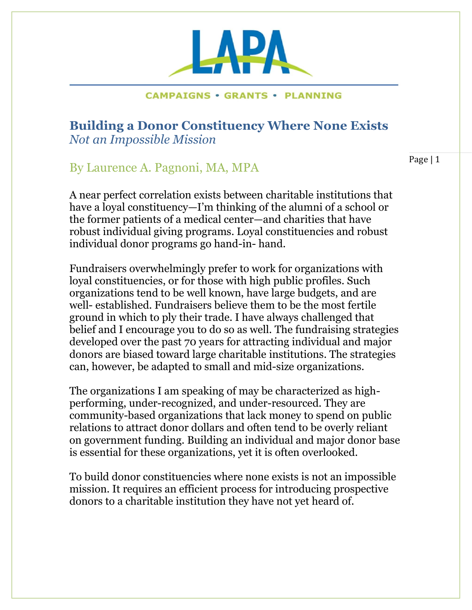**Building a Donor Constituency Where None Exists** *Not an Impossible Mission*

# By Laurence A. Pagnoni, MA, MPA

A near perfect correlation exists between charitable institutions that have a loyal constituency—I'm thinking of the alumni of a school or the former patients of a medical center—and charities that have robust individual giving programs. Loyal constituencies and robust individual donor programs go hand-in- hand.

Fundraisers overwhelmingly prefer to work for organizations with loyal constituencies, or for those with high public profiles. Such organizations tend to be well known, have large budgets, and are well- established. Fundraisers believe them to be the most fertile ground in which to ply their trade. I have always challenged that belief and I encourage you to do so as well. The fundraising strategies developed over the past 70 years for attracting individual and major donors are biased toward large charitable institutions. The strategies can, however, be adapted to small and mid-size organizations.

The organizations I am speaking of may be characterized as highperforming, under-recognized, and under-resourced. They are community-based organizations that lack money to spend on public relations to attract donor dollars and often tend to be overly reliant on government funding. Building an individual and major donor base is essential for these organizations, yet it is often overlooked.

To build donor constituencies where none exists is not an impossible mission. It requires an efficient process for introducing prospective donors to a charitable institution they have not yet heard of.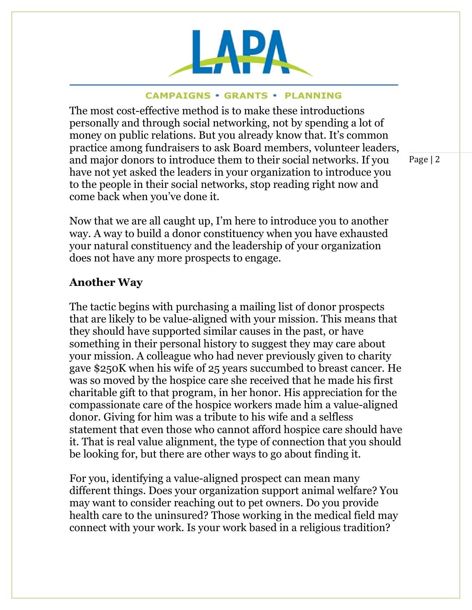

The most cost-effective method is to make these introductions personally and through social networking, not by spending a lot of money on public relations. But you already know that. It's common practice among fundraisers to ask Board members, volunteer leaders, and major donors to introduce them to their social networks. If you have not yet asked the leaders in your organization to introduce you to the people in their social networks, stop reading right now and come back when you've done it.

Now that we are all caught up, I'm here to introduce you to another way. A way to build a donor constituency when you have exhausted your natural constituency and the leadership of your organization does not have any more prospects to engage.

## **Another Way**

The tactic begins with purchasing a mailing list of donor prospects that are likely to be value-aligned with your mission. This means that they should have supported similar causes in the past, or have something in their personal history to suggest they may care about your mission. A colleague who had never previously given to charity gave \$250K when his wife of 25 years succumbed to breast cancer. He was so moved by the hospice care she received that he made his first charitable gift to that program, in her honor. His appreciation for the compassionate care of the hospice workers made him a value-aligned donor. Giving for him was a tribute to his wife and a selfless statement that even those who cannot afford hospice care should have it. That is real value alignment, the type of connection that you should be looking for, but there are other ways to go about finding it.

For you, identifying a value-aligned prospect can mean many different things. Does your organization support animal welfare? You may want to consider reaching out to pet owners. Do you provide health care to the uninsured? Those working in the medical field may connect with your work. Is your work based in a religious tradition?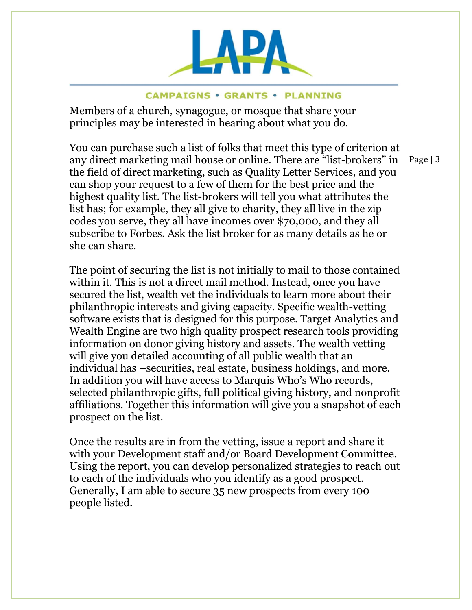

Members of a church, synagogue, or mosque that share your principles may be interested in hearing about what you do.

You can purchase such a list of folks that meet this type of criterion at any direct marketing mail house or online. There are "list-brokers" in the field of direct marketing, such as Quality Letter Services, and you can shop your request to a few of them for the best price and the highest quality list. The list-brokers will tell you what attributes the list has; for example, they all give to charity, they all live in the zip codes you serve, they all have incomes over \$70,000, and they all subscribe to Forbes. Ask the list broker for as many details as he or she can share.

The point of securing the list is not initially to mail to those contained within it. This is not a direct mail method. Instead, once you have secured the list, wealth vet the individuals to learn more about their philanthropic interests and giving capacity. Specific wealth-vetting software exists that is designed for this purpose. Target Analytics and Wealth Engine are two high quality prospect research tools providing information on donor giving history and assets. The wealth vetting will give you detailed accounting of all public wealth that an individual has –securities, real estate, business holdings, and more. In addition you will have access to Marquis Who's Who records, selected philanthropic gifts, full political giving history, and nonprofit affiliations. Together this information will give you a snapshot of each prospect on the list.

Once the results are in from the vetting, issue a report and share it with your Development staff and/or Board Development Committee. Using the report, you can develop personalized strategies to reach out to each of the individuals who you identify as a good prospect. Generally, I am able to secure 35 new prospects from every 100 people listed.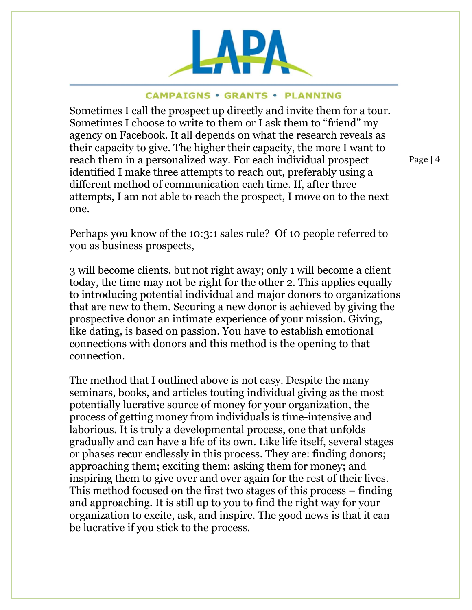

Sometimes I call the prospect up directly and invite them for a tour. Sometimes I choose to write to them or I ask them to "friend" my agency on Facebook. It all depends on what the research reveals as their capacity to give. The higher their capacity, the more I want to reach them in a personalized way. For each individual prospect identified I make three attempts to reach out, preferably using a different method of communication each time. If, after three attempts, I am not able to reach the prospect, I move on to the next one.

Page | 4

Perhaps you know of the 10:3:1 sales rule? Of 10 people referred to you as business prospects,

3 will become clients, but not right away; only 1 will become a client today, the time may not be right for the other 2. This applies equally to introducing potential individual and major donors to organizations that are new to them. Securing a new donor is achieved by giving the prospective donor an intimate experience of your mission. Giving, like dating, is based on passion. You have to establish emotional connections with donors and this method is the opening to that connection.

The method that I outlined above is not easy. Despite the many seminars, books, and articles touting individual giving as the most potentially lucrative source of money for your organization, the process of getting money from individuals is time-intensive and laborious. It is truly a developmental process, one that unfolds gradually and can have a life of its own. Like life itself, several stages or phases recur endlessly in this process. They are: finding donors; approaching them; exciting them; asking them for money; and inspiring them to give over and over again for the rest of their lives. This method focused on the first two stages of this process – finding and approaching. It is still up to you to find the right way for your organization to excite, ask, and inspire. The good news is that it can be lucrative if you stick to the process.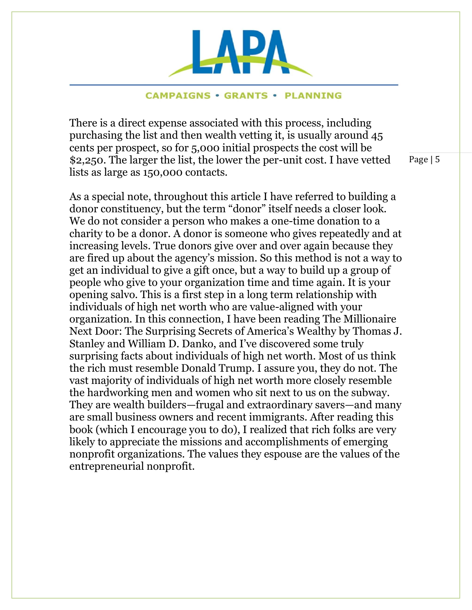

There is a direct expense associated with this process, including purchasing the list and then wealth vetting it, is usually around 45 cents per prospect, so for 5,000 initial prospects the cost will be \$2,250. The larger the list, the lower the per-unit cost. I have vetted lists as large as 150,000 contacts.

As a special note, throughout this article I have referred to building a donor constituency, but the term "donor" itself needs a closer look. We do not consider a person who makes a one-time donation to a charity to be a donor. A donor is someone who gives repeatedly and at increasing levels. True donors give over and over again because they are fired up about the agency's mission. So this method is not a way to get an individual to give a gift once, but a way to build up a group of people who give to your organization time and time again. It is your opening salvo. This is a first step in a long term relationship with individuals of high net worth who are value-aligned with your organization. In this connection, I have been reading The Millionaire Next Door: The Surprising Secrets of America's Wealthy by Thomas J. Stanley and William D. Danko, and I've discovered some truly surprising facts about individuals of high net worth. Most of us think the rich must resemble Donald Trump. I assure you, they do not. The vast majority of individuals of high net worth more closely resemble the hardworking men and women who sit next to us on the subway. They are wealth builders—frugal and extraordinary savers—and many are small business owners and recent immigrants. After reading this book (which I encourage you to do), I realized that rich folks are very likely to appreciate the missions and accomplishments of emerging nonprofit organizations. The values they espouse are the values of the entrepreneurial nonprofit.